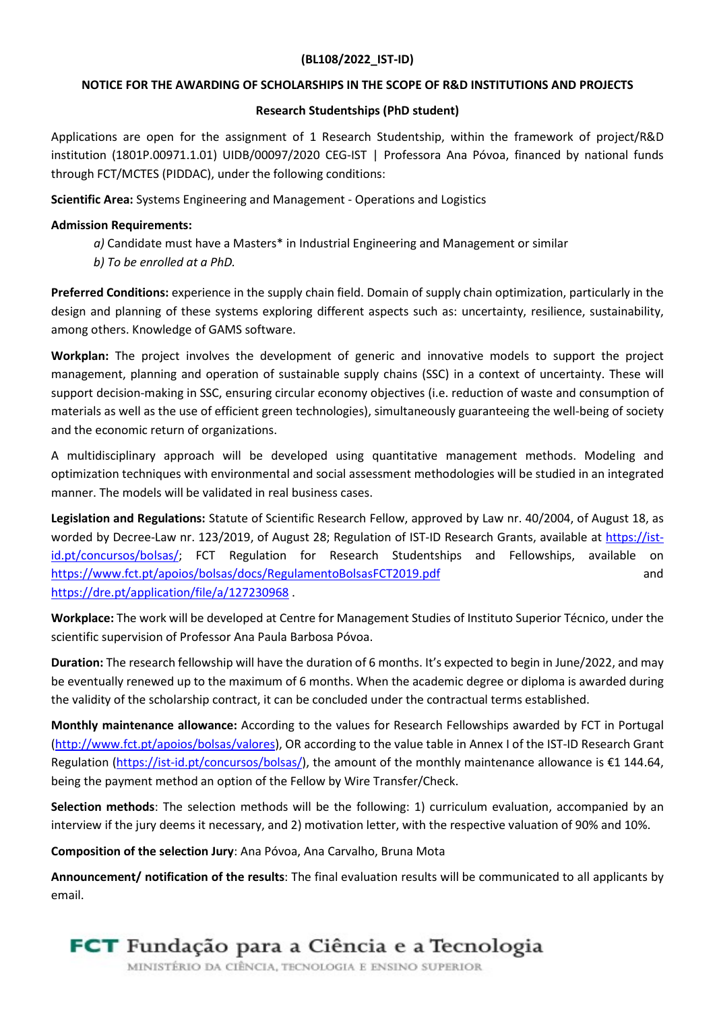## (BL108/2022\_IST-ID)

### NOTICE FOR THE AWARDING OF SCHOLARSHIPS IN THE SCOPE OF R&D INSTITUTIONS AND PROJECTS

### Research Studentships (PhD student)

Applications are open for the assignment of 1 Research Studentship, within the framework of project/R&D institution (1801P.00971.1.01) UIDB/00097/2020 CEG-IST | Professora Ana Póvoa, financed by national funds through FCT/MCTES (PIDDAC), under the following conditions:

Scientific Area: Systems Engineering and Management - Operations and Logistics

#### Admission Requirements:

- a) Candidate must have a Masters\* in Industrial Engineering and Management or similar
- b) To be enrolled at a PhD.

Preferred Conditions: experience in the supply chain field. Domain of supply chain optimization, particularly in the design and planning of these systems exploring different aspects such as: uncertainty, resilience, sustainability, among others. Knowledge of GAMS software.

Workplan: The project involves the development of generic and innovative models to support the project management, planning and operation of sustainable supply chains (SSC) in a context of uncertainty. These will support decision-making in SSC, ensuring circular economy objectives (i.e. reduction of waste and consumption of materials as well as the use of efficient green technologies), simultaneously guaranteeing the well-being of society and the economic return of organizations.

A multidisciplinary approach will be developed using quantitative management methods. Modeling and optimization techniques with environmental and social assessment methodologies will be studied in an integrated manner. The models will be validated in real business cases.

Legislation and Regulations: Statute of Scientific Research Fellow, approved by Law nr. 40/2004, of August 18, as worded by Decree-Law nr. 123/2019, of August 28; Regulation of IST-ID Research Grants, available at https://istid.pt/concursos/bolsas/; FCT Regulation for Research Studentships and Fellowships, available on https://www.fct.pt/apoios/bolsas/docs/RegulamentoBolsasFCT2019.pdf and https://dre.pt/application/file/a/127230968 .

Workplace: The work will be developed at Centre for Management Studies of Instituto Superior Técnico, under the scientific supervision of Professor Ana Paula Barbosa Póvoa.

Duration: The research fellowship will have the duration of 6 months. It's expected to begin in June/2022, and may be eventually renewed up to the maximum of 6 months. When the academic degree or diploma is awarded during the validity of the scholarship contract, it can be concluded under the contractual terms established.

Monthly maintenance allowance: According to the values for Research Fellowships awarded by FCT in Portugal (http://www.fct.pt/apoios/bolsas/valores), OR according to the value table in Annex I of the IST-ID Research Grant Regulation (https://ist-id.pt/concursos/bolsas/), the amount of the monthly maintenance allowance is €1 144.64, being the payment method an option of the Fellow by Wire Transfer/Check.

Selection methods: The selection methods will be the following: 1) curriculum evaluation, accompanied by an interview if the jury deems it necessary, and 2) motivation letter, with the respective valuation of 90% and 10%.

Composition of the selection Jury: Ana Póvoa, Ana Carvalho, Bruna Mota

Announcement/ notification of the results: The final evaluation results will be communicated to all applicants by email.

# **FCT** Fundação para a Ciência e a Tecnologia

MINISTÉRIO DA CIÊNCIA, TECNOLOGIA E ENSINO SUPERIOR